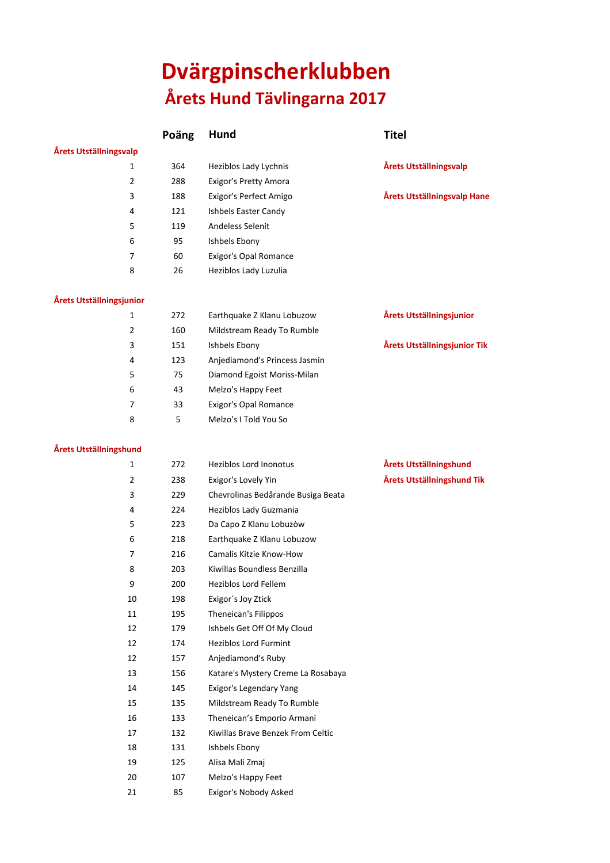# **Dvärgpinscherklubben Årets Hund Tävlingarna 2017**

**Poäng Hund Titel**

### **Årets Utställningsvalp**

| пμ |     |                        |
|----|-----|------------------------|
| 1  | 364 | Heziblos Lady Lychnis  |
| 2  | 288 | Exigor's Pretty Amora  |
| 3  | 188 | Exigor's Perfect Amigo |
| 4  | 121 | Ishbels Easter Candy   |
| 5  | 119 | Andeless Selenit       |
| 6  | 95  | Ishbels Ebony          |
| 7  | 60  | Exigor's Opal Romance  |
| 8  | 26  | Heziblos Lady Luzulia  |
|    |     |                        |

#### **Årets Utställningsjunior**

| 1 | 272 | Earthquake Z Klanu Lobuzow    | Årets Utställningsjunior     |
|---|-----|-------------------------------|------------------------------|
| 2 | 160 | Mildstream Ready To Rumble    |                              |
| 3 | 151 | Ishbels Ebony                 | Årets Utställningsjunior Tik |
| 4 | 123 | Anjediamond's Princess Jasmin |                              |
| 5 | 75  | Diamond Egoist Moriss-Milan   |                              |
| 6 | 43  | Melzo's Happy Feet            |                              |
|   | 33  | Exigor's Opal Romance         |                              |
| 8 | 5   | Melzo's I Told You So         |                              |
|   |     |                               |                              |

#### **Årets Utställningshund**

| 1  | 272 | <b>Heziblos Lord Inonotus</b>      |
|----|-----|------------------------------------|
| 2  | 238 | Exigor's Lovely Yin                |
| 3  | 229 | Chevrolinas Bedårande Busiga Beata |
| 4  | 224 | Heziblos Lady Guzmania             |
| 5  | 223 | Da Capo Z Klanu Lobuzòw            |
| 6  | 218 | Earthquake Z Klanu Lobuzow         |
| 7  | 216 | Camalis Kitzie Know-How            |
| 8  | 203 | Kiwillas Boundless Benzilla        |
| 9  | 200 | <b>Heziblos Lord Fellem</b>        |
| 10 | 198 | Exigor's Joy Ztick                 |
| 11 | 195 | Theneican's Filippos               |
| 12 | 179 | Ishbels Get Off Of My Cloud        |
| 12 | 174 | <b>Heziblos Lord Furmint</b>       |
| 12 | 157 | Anjediamond's Ruby                 |
| 13 | 156 | Katare's Mystery Creme La Rosabaya |
| 14 | 145 | Exigor's Legendary Yang            |
| 15 | 135 | Mildstream Ready To Rumble         |
| 16 | 133 | Theneican's Emporio Armani         |
| 17 | 132 | Kiwillas Brave Benzek From Celtic  |
| 18 | 131 | Ishbels Ebony                      |
| 19 | 125 | Alisa Mali Zmaj                    |
| 20 | 107 | Melzo's Happy Feet                 |
| 21 | 85  | Exigor's Nobody Asked              |

# Årets Utställningshund 2 238 Exigor's Lovely Yin **Årets Utställningshund Tik**

Årets Utställningsvalp

 $Årets Utställningsvalp Hane$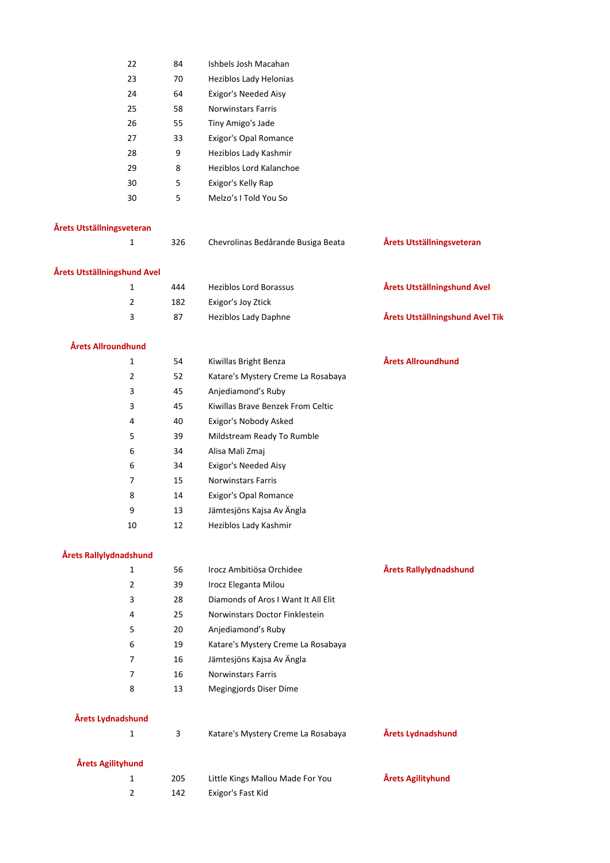| 22 | 84 | Ishbels Josh Macahan      |
|----|----|---------------------------|
| 23 | 70 | Heziblos Lady Helonias    |
| 24 | 64 | Exigor's Needed Aisy      |
| 25 | 58 | <b>Norwinstars Farris</b> |
| 26 | 55 | Tiny Amigo's Jade         |
| 27 | 33 | Exigor's Opal Romance     |
| 28 | 9  | Heziblos Lady Kashmir     |
| 29 | 8  | Heziblos Lord Kalanchoe   |
| 30 | 5  | Exigor's Kelly Rap        |
| 30 | 5  | Melzo's I Told You So     |

## **Årets Utställningsveteran**

| 1                           | 326 | Chevrolinas Bedårande Busiga Beata | Årets Utställningsveteran       |
|-----------------------------|-----|------------------------------------|---------------------------------|
| Årets Utställningshund Avel |     |                                    |                                 |
| 1                           | 444 | <b>Heziblos Lord Borassus</b>      | Årets Utställningshund Avel     |
| 2                           | 182 | Exigor's Joy Ztick                 |                                 |
| 3                           | 87  | <b>Heziblos Lady Daphne</b>        | Årets Utställningshund Avel Tik |
|                             |     |                                    |                                 |

## **Årets Allroundhund**

| 1              | 54 | Kiwillas Bright Benza              | Årets Allroundhund |
|----------------|----|------------------------------------|--------------------|
| $\overline{2}$ | 52 | Katare's Mystery Creme La Rosabaya |                    |
| 3              | 45 | Anjediamond's Ruby                 |                    |
| 3              | 45 | Kiwillas Brave Benzek From Celtic  |                    |
| 4              | 40 | Exigor's Nobody Asked              |                    |
| 5              | 39 | Mildstream Ready To Rumble         |                    |
| 6              | 34 | Alisa Mali Zmaj                    |                    |
| 6              | 34 | Exigor's Needed Aisy               |                    |
| 7              | 15 | <b>Norwinstars Farris</b>          |                    |
| 8              | 14 | Exigor's Opal Romance              |                    |
| 9              | 13 | Jämtesjöns Kajsa Av Ängla          |                    |
| 10             | 12 | Heziblos Lady Kashmir              |                    |

#### **Årets Rallylydnadshund**

| 1 | 56 | Irocz Ambitiösa Orchidee            | Årets Rallylydnadshund |
|---|----|-------------------------------------|------------------------|
| 2 | 39 | Irocz Eleganta Milou                |                        |
| 3 | 28 | Diamonds of Aros I Want It All Elit |                        |
| 4 | 25 | Norwinstars Doctor Finklestein      |                        |
| 5 | 20 | Anjediamond's Ruby                  |                        |
| 6 | 19 | Katare's Mystery Creme La Rosabaya  |                        |
| 7 | 16 | Jämtesjöns Kajsa Av Ängla           |                        |
| 7 | 16 | <b>Norwinstars Farris</b>           |                        |
| 8 | 13 | Megingjords Diser Dime              |                        |
|   |    |                                     |                        |

# **Årets Lydnadshund**

|                   | 3   | Katare's Mystery Creme La Rosabaya | Årets Lydnadshund |
|-------------------|-----|------------------------------------|-------------------|
| Årets Agilityhund |     |                                    |                   |
|                   | 205 | Little Kings Mallou Made For You   | Årets Agilityhund |
|                   | 142 | Exigor's Fast Kid                  |                   |